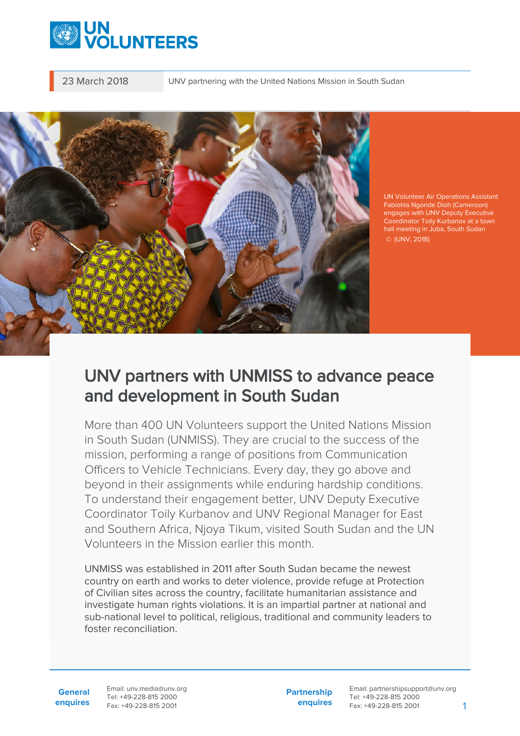

23 March 2018 UNV partnering with the United Nations Mission in South Sudan



UN Volunteer Air Operations Assistant Fabiohla Ngonde Dioh (Cameroon) engages with UNV Deputy Executive Coordinator Toily Kurbanov at a town hall meeting in Juba, South Sudan  $@$  (UNV, 2018)

## UNV partners with UNMISS to advance peace and development in South Sudan

More than 400 UN Volunteers support the United Nations Mission in South Sudan (UNMISS). They are crucial to the success of the mission, performing a range of positions from Communication Officers to Vehicle Technicians. Every day, they go above and beyond in their assignments while enduring hardship conditions. To understand their engagement better, UNV Deputy Executive Coordinator Toily Kurbanov and UNV Regional Manager for East and Southern Africa, Njoya Tikum, visited South Sudan and the UN Volunteers in the Mission earlier this month.

UNMISS was established in 2011 after South Sudan became the newest country on earth and works to deter violence, provide refuge at Protection of Civilian sites across the country, facilitate humanitarian assistance and investigate human rights violations. It is an impartial partner at national and sub-national level to political, religious, traditional and community leaders to foster reconciliation.

**General enquires** Email: unv.media@unv.org Tel: +49-228-815 2000 Fax: +49-228-815 2001

**Partnership enquires**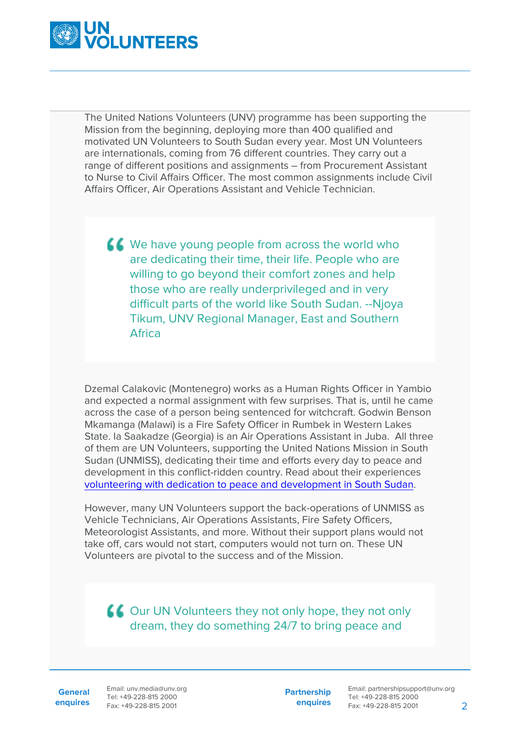

The United Nations Volunteers (UNV) programme has been supporting the Mission from the beginning, deploying more than 400 qualified and motivated UN Volunteers to South Sudan every year. Most UN Volunteers are internationals, coming from 76 different countries. They carry out a range of different positions and assignments – from Procurement Assistant to Nurse to Civil Affairs Officer. The most common assignments include Civil Affairs Officer, Air Operations Assistant and Vehicle Technician.

K We have young people from across the world who are dedicating their time, their life. People who are willing to go beyond their comfort zones and help those who are really underprivileged and in very difficult parts of the world like South Sudan. --Njoya Tikum, UNV Regional Manager, East and Southern Africa

Dzemal Calakovic (Montenegro) works as a Human Rights Officer in Yambio and expected a normal assignment with few surprises. That is, until he came across the case of a person being sentenced for witchcraft. Godwin Benson Mkamanga (Malawi) is a Fire Safety Officer in Rumbek in Western Lakes State. Ia Saakadze (Georgia) is an Air Operations Assistant in Juba. All three of them are UN Volunteers, supporting the United Nations Mission in South Sudan (UNMISS), dedicating their time and efforts every day to peace and development in this conflict-ridden country. Read about their experiences [volunteering with dedication to peace and development in South Sudan.](https://www.unv.org/our-stories/volunteering-dedication-peace-and-development-south-sudan)

However, many UN Volunteers support the back-operations of UNMISS as Vehicle Technicians, Air Operations Assistants, Fire Safety Officers, Meteorologist Assistants, and more. Without their support plans would not take off, cars would not start, computers would not turn on. These UN Volunteers are pivotal to the success and of the Mission.

**COUT UN Volunteers they not only hope, they not only** dream, they do something 24/7 to bring peace and

**General enquires** Email: unv.media@unv.org Tel: +49-228-815 2000 Fax: +49-228-815 2001

**Partnership enquires**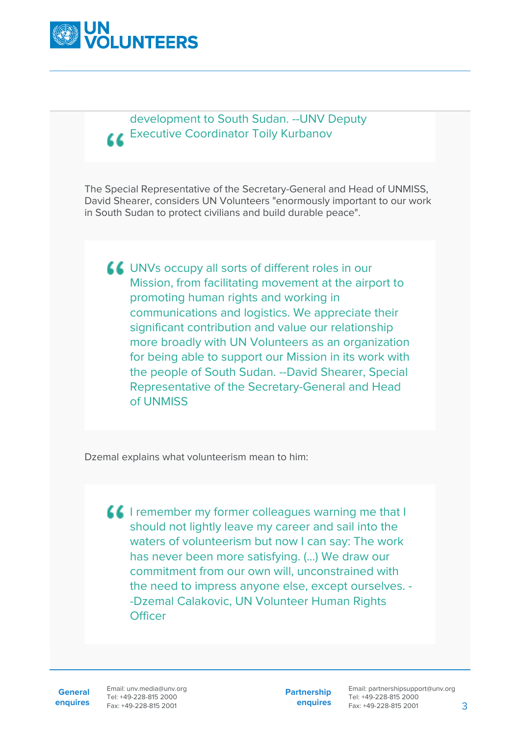

development to South Sudan. --UNV Deputy **CEXECUTIVE Coordinator Toily Kurbanov** 

The Special Representative of the Secretary-General and Head of UNMISS, David Shearer, considers UN Volunteers "enormously important to our work in South Sudan to protect civilians and build durable peace".

UNVs occupy all sorts of different roles in our Mission, from facilitating movement at the airport to promoting human rights and working in communications and logistics. We appreciate their significant contribution and value our relationship more broadly with UN Volunteers as an organization for being able to support our Mission in its work with the people of South Sudan. --David Shearer, Special Representative of the Secretary-General and Head of UNMISS

Dzemal explains what volunteerism mean to him:

**If** I remember my former colleagues warning me that I should not lightly leave my career and sail into the waters of volunteerism but now I can say: The work has never been more satisfying. (…) We draw our commitment from our own will, unconstrained with the need to impress anyone else, except ourselves. - -Dzemal Calakovic, UN Volunteer Human Rights **Officer** 

**General**

**enquires** Fax: +49-228-815 2001 Email: unv.media@unv.org Tel: +49-228-815 2000

**Partnership enquires**